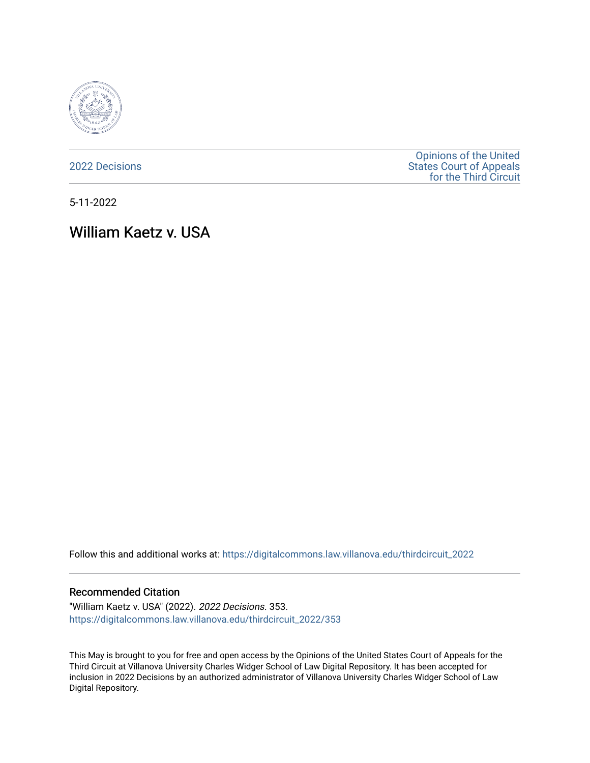

[2022 Decisions](https://digitalcommons.law.villanova.edu/thirdcircuit_2022)

[Opinions of the United](https://digitalcommons.law.villanova.edu/thirdcircuit)  [States Court of Appeals](https://digitalcommons.law.villanova.edu/thirdcircuit)  [for the Third Circuit](https://digitalcommons.law.villanova.edu/thirdcircuit) 

5-11-2022

# William Kaetz v. USA

Follow this and additional works at: [https://digitalcommons.law.villanova.edu/thirdcircuit\\_2022](https://digitalcommons.law.villanova.edu/thirdcircuit_2022?utm_source=digitalcommons.law.villanova.edu%2Fthirdcircuit_2022%2F353&utm_medium=PDF&utm_campaign=PDFCoverPages) 

#### Recommended Citation

"William Kaetz v. USA" (2022). 2022 Decisions. 353. [https://digitalcommons.law.villanova.edu/thirdcircuit\\_2022/353](https://digitalcommons.law.villanova.edu/thirdcircuit_2022/353?utm_source=digitalcommons.law.villanova.edu%2Fthirdcircuit_2022%2F353&utm_medium=PDF&utm_campaign=PDFCoverPages)

This May is brought to you for free and open access by the Opinions of the United States Court of Appeals for the Third Circuit at Villanova University Charles Widger School of Law Digital Repository. It has been accepted for inclusion in 2022 Decisions by an authorized administrator of Villanova University Charles Widger School of Law Digital Repository.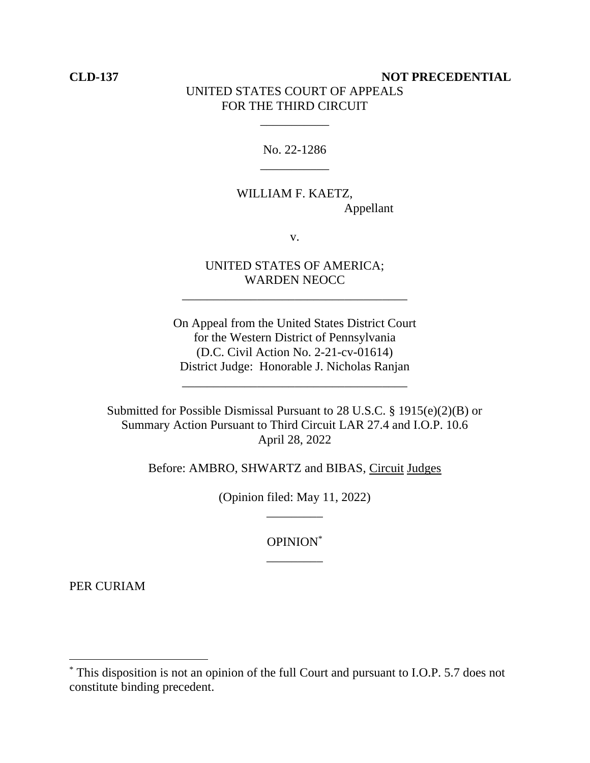## **CLD-137 NOT PRECEDENTIAL** UNITED STATES COURT OF APPEALS FOR THE THIRD CIRCUIT

# No. 22-1286 \_\_\_\_\_\_\_\_\_\_\_

\_\_\_\_\_\_\_\_\_\_\_

## WILLIAM F. KAETZ, Appellant

v.

#### UNITED STATES OF AMERICA; WARDEN NEOCC

\_\_\_\_\_\_\_\_\_\_\_\_\_\_\_\_\_\_\_\_\_\_\_\_\_\_\_\_\_\_\_\_\_\_\_\_

On Appeal from the United States District Court for the Western District of Pennsylvania (D.C. Civil Action No. 2-21-cv-01614) District Judge: Honorable J. Nicholas Ranjan

\_\_\_\_\_\_\_\_\_\_\_\_\_\_\_\_\_\_\_\_\_\_\_\_\_\_\_\_\_\_\_\_\_\_\_\_

Submitted for Possible Dismissal Pursuant to 28 U.S.C. § 1915(e)(2)(B) or Summary Action Pursuant to Third Circuit LAR 27.4 and I.O.P. 10.6 April 28, 2022

Before: AMBRO, SHWARTZ and BIBAS, Circuit Judges

(Opinion filed: May 11, 2022) \_\_\_\_\_\_\_\_\_

> OPINION\* \_\_\_\_\_\_\_\_\_

PER CURIAM

<sup>\*</sup> This disposition is not an opinion of the full Court and pursuant to I.O.P. 5.7 does not constitute binding precedent.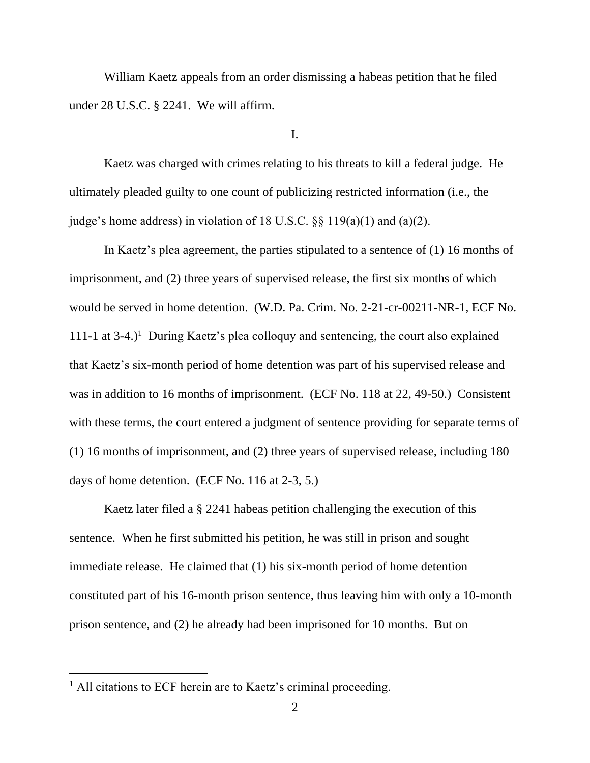William Kaetz appeals from an order dismissing a habeas petition that he filed under 28 U.S.C. § 2241. We will affirm.

I.

Kaetz was charged with crimes relating to his threats to kill a federal judge. He ultimately pleaded guilty to one count of publicizing restricted information (i.e., the judge's home address) in violation of 18 U.S.C. §§ 119(a)(1) and (a)(2).

In Kaetz's plea agreement, the parties stipulated to a sentence of (1) 16 months of imprisonment, and (2) three years of supervised release, the first six months of which would be served in home detention. (W.D. Pa. Crim. No. 2-21-cr-00211-NR-1, ECF No. 111-1 at  $3-4$ .)<sup>1</sup> During Kaetz's plea colloquy and sentencing, the court also explained that Kaetz's six-month period of home detention was part of his supervised release and was in addition to 16 months of imprisonment. (ECF No. 118 at 22, 49-50.) Consistent with these terms, the court entered a judgment of sentence providing for separate terms of (1) 16 months of imprisonment, and (2) three years of supervised release, including 180 days of home detention. (ECF No. 116 at 2-3, 5.)

Kaetz later filed a § 2241 habeas petition challenging the execution of this sentence. When he first submitted his petition, he was still in prison and sought immediate release. He claimed that (1) his six-month period of home detention constituted part of his 16-month prison sentence, thus leaving him with only a 10-month prison sentence, and (2) he already had been imprisoned for 10 months. But on

<sup>&</sup>lt;sup>1</sup> All citations to ECF herein are to Kaetz's criminal proceeding.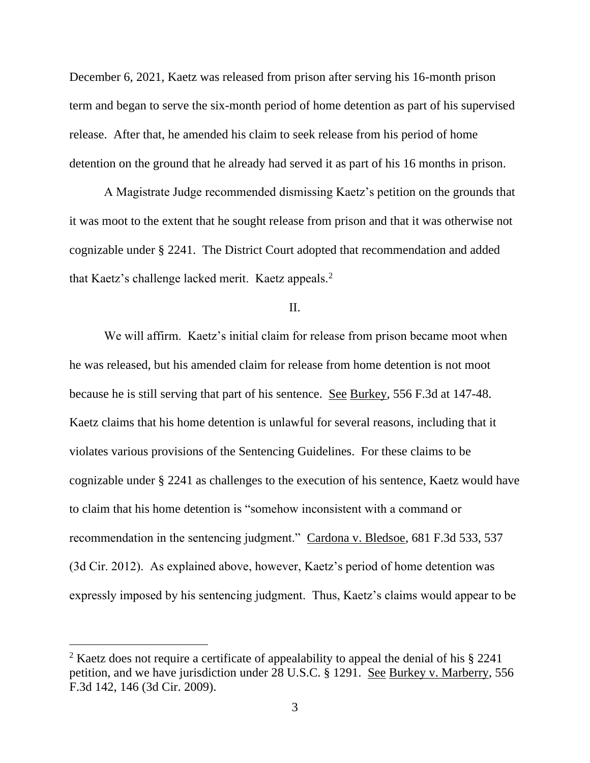December 6, 2021, Kaetz was released from prison after serving his 16-month prison term and began to serve the six-month period of home detention as part of his supervised release. After that, he amended his claim to seek release from his period of home detention on the ground that he already had served it as part of his 16 months in prison.

A Magistrate Judge recommended dismissing Kaetz's petition on the grounds that it was moot to the extent that he sought release from prison and that it was otherwise not cognizable under § 2241. The District Court adopted that recommendation and added that Kaetz's challenge lacked merit. Kaetz appeals.<sup>2</sup>

II.

We will affirm. Kaetz's initial claim for release from prison became moot when he was released, but his amended claim for release from home detention is not moot because he is still serving that part of his sentence. See Burkey, 556 F.3d at 147-48. Kaetz claims that his home detention is unlawful for several reasons, including that it violates various provisions of the Sentencing Guidelines. For these claims to be cognizable under § 2241 as challenges to the execution of his sentence, Kaetz would have to claim that his home detention is "somehow inconsistent with a command or recommendation in the sentencing judgment." Cardona v. Bledsoe, 681 F.3d 533, 537 (3d Cir. 2012). As explained above, however, Kaetz's period of home detention was expressly imposed by his sentencing judgment. Thus, Kaetz's claims would appear to be

<sup>&</sup>lt;sup>2</sup> Kaetz does not require a certificate of appealability to appeal the denial of his § 2241 petition, and we have jurisdiction under 28 U.S.C. § 1291. See Burkey v. Marberry, 556 F.3d 142, 146 (3d Cir. 2009).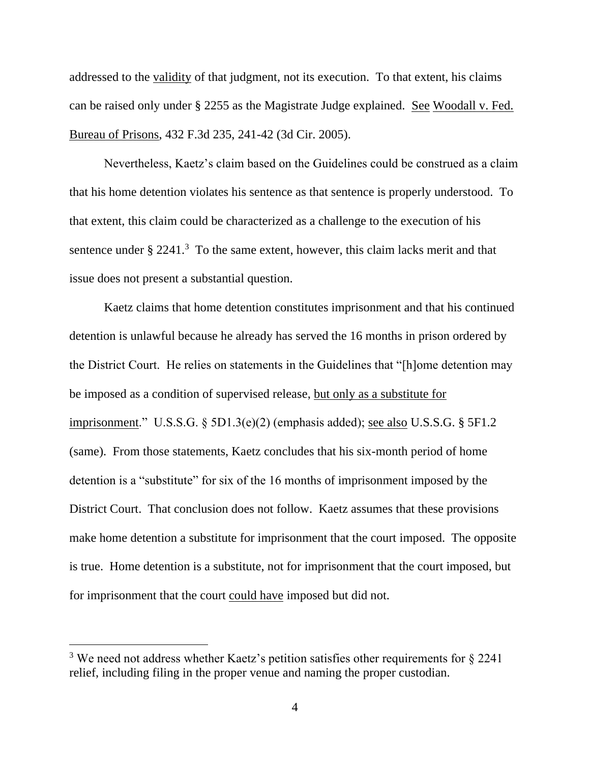addressed to the validity of that judgment, not its execution. To that extent, his claims can be raised only under § 2255 as the Magistrate Judge explained. See Woodall v. Fed. Bureau of Prisons, 432 F.3d 235, 241-42 (3d Cir. 2005).

Nevertheless, Kaetz's claim based on the Guidelines could be construed as a claim that his home detention violates his sentence as that sentence is properly understood. To that extent, this claim could be characterized as a challenge to the execution of his sentence under  $\S 2241$ <sup>3</sup> To the same extent, however, this claim lacks merit and that issue does not present a substantial question.

Kaetz claims that home detention constitutes imprisonment and that his continued detention is unlawful because he already has served the 16 months in prison ordered by the District Court. He relies on statements in the Guidelines that "[h]ome detention may be imposed as a condition of supervised release, but only as a substitute for imprisonment." U.S.S.G. § 5D1.3(e)(2) (emphasis added); see also U.S.S.G. § 5F1.2 (same). From those statements, Kaetz concludes that his six-month period of home detention is a "substitute" for six of the 16 months of imprisonment imposed by the District Court. That conclusion does not follow. Kaetz assumes that these provisions make home detention a substitute for imprisonment that the court imposed. The opposite is true. Home detention is a substitute, not for imprisonment that the court imposed, but for imprisonment that the court could have imposed but did not.

<sup>&</sup>lt;sup>3</sup> We need not address whether Kaetz's petition satisfies other requirements for  $\S$  2241 relief, including filing in the proper venue and naming the proper custodian.